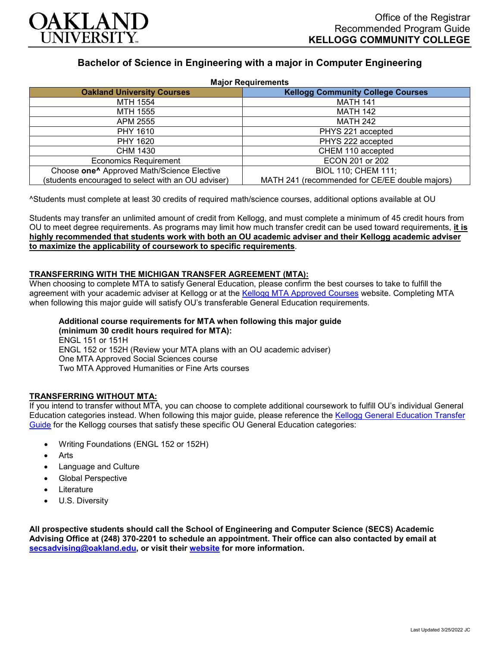

# **Bachelor of Science in Engineering with a major in Computer Engineering**

| <b>Major Requirements</b>                              |                                                |
|--------------------------------------------------------|------------------------------------------------|
| <b>Oakland University Courses</b>                      | <b>Kellogg Community College Courses</b>       |
| MTH 1554                                               | <b>MATH 141</b>                                |
| MTH 1555                                               | <b>MATH 142</b>                                |
| APM 2555                                               | <b>MATH 242</b>                                |
| PHY 1610                                               | PHYS 221 accepted                              |
| PHY 1620                                               | PHYS 222 accepted                              |
| CHM 1430                                               | CHEM 110 accepted                              |
| <b>Economics Requirement</b>                           | ECON 201 or 202                                |
| Choose one <sup>^</sup> Approved Math/Science Elective | BIOL 110; CHEM 111;                            |
| (students encouraged to select with an OU adviser)     | MATH 241 (recommended for CE/EE double majors) |

^Students must complete at least 30 credits of required math/science courses, additional options available at OU

Students may transfer an unlimited amount of credit from Kellogg, and must complete a minimum of 45 credit hours from OU to meet degree requirements. As programs may limit how much transfer credit can be used toward requirements, **it is highly recommended that students work with both an OU academic adviser and their Kellogg academic adviser to maximize the applicability of coursework to specific requirements**.

### **TRANSFERRING WITH THE MICHIGAN TRANSFER AGREEMENT (MTA):**

When choosing to complete MTA to satisfy General Education, please confirm the best courses to take to fulfill the agreement with your academic adviser at Kellogg or at the [Kellogg MTA Approved Courses](http://catalog.kellogg.edu/content.php?catoid=18&navoid=790#michigan-transfer-agreement) website. Completing MTA when following this major guide will satisfy OU's transferable General Education requirements.

**Additional course requirements for MTA when following this major guide (minimum 30 credit hours required for MTA):** ENGL 151 or 151H ENGL 152 or 152H (Review your MTA plans with an OU academic adviser) One MTA Approved Social Sciences course Two MTA Approved Humanities or Fine Arts courses

### **TRANSFERRING WITHOUT MTA:**

If you intend to transfer without MTA, you can choose to complete additional coursework to fulfill OU's individual General Education categories instead. When following this major guide, please reference the [Kellogg General Education Transfer](https://www.oakland.edu/Assets/Oakland/program-guides/kellogg-community-college/university-general-education-requirements/Kellogg%20Gen%20Ed.pdf)  [Guide](https://www.oakland.edu/Assets/Oakland/program-guides/kellogg-community-college/university-general-education-requirements/Kellogg%20Gen%20Ed.pdf) for the Kellogg courses that satisfy these specific OU General Education categories:

- Writing Foundations (ENGL 152 or 152H)
- **Arts**
- Language and Culture
- Global Perspective
- **Literature**
- U.S. Diversity

**All prospective students should call the School of Engineering and Computer Science (SECS) Academic Advising Office at (248) 370-2201 to schedule an appointment. Their office can also contacted by email at [secsadvising@oakland.edu,](mailto:secsadvising@oakland.edu) or visit their [website](https://wwwp.oakland.edu/secs/advising/) for more information.**